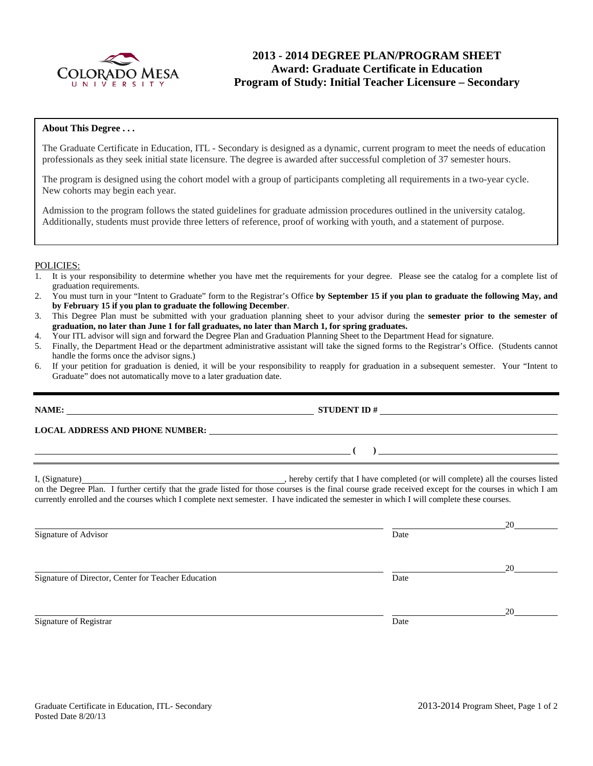

# **2013 - 2014 DEGREE PLAN/PROGRAM SHEET Award: Graduate Certificate in Education Program of Study: Initial Teacher Licensure – Secondary**

#### **About This Degree . . .**

The Graduate Certificate in Education, ITL - Secondary is designed as a dynamic, current program to meet the needs of education professionals as they seek initial state licensure. The degree is awarded after successful completion of 37 semester hours.

The program is designed using the cohort model with a group of participants completing all requirements in a two-year cycle. New cohorts may begin each year.

Admission to the program follows the stated guidelines for graduate admission procedures outlined in the university catalog. Additionally, students must provide three letters of reference, proof of working with youth, and a statement of purpose.

#### POLICIES:

- 1. It is your responsibility to determine whether you have met the requirements for your degree. Please see the catalog for a complete list of graduation requirements.
- 2. You must turn in your "Intent to Graduate" form to the Registrar's Office **by September 15 if you plan to graduate the following May, and by February 15 if you plan to graduate the following December**.
- 3. This Degree Plan must be submitted with your graduation planning sheet to your advisor during the **semester prior to the semester of graduation, no later than June 1 for fall graduates, no later than March 1, for spring graduates.**
- 4. Your ITL advisor will sign and forward the Degree Plan and Graduation Planning Sheet to the Department Head for signature.
- 5. Finally, the Department Head or the department administrative assistant will take the signed forms to the Registrar's Office. (Students cannot handle the forms once the advisor signs.)
- 6. If your petition for graduation is denied, it will be your responsibility to reapply for graduation in a subsequent semester. Your "Intent to Graduate" does not automatically move to a later graduation date.

| NAME:<br><u> 1989 - Andrea State Barbara, amerikan personal di sebagai personal di sebagai personal di sebagai personal d</u> | <b>STUDENT ID#</b><br>the contract of the contract of the contract of the contract of the contract of the contract of the contract of |
|-------------------------------------------------------------------------------------------------------------------------------|---------------------------------------------------------------------------------------------------------------------------------------|
| <b>LOCAL ADDRESS AND PHONE NUMBER:</b>                                                                                        | <u>and the state of the state of the state of the state of the state of the state of the state of the state of th</u>                 |
|                                                                                                                               |                                                                                                                                       |

I, (Signature) **Solution** , hereby certify that I have completed (or will complete) all the courses listed on the Degree Plan. I further certify that the grade listed for those courses is the final course grade received except for the courses in which I am currently enrolled and the courses which I complete next semester. I have indicated the semester in which I will complete these courses.

| Signature of Advisor                                | Date | 20 |
|-----------------------------------------------------|------|----|
| Signature of Director, Center for Teacher Education | Date | 20 |
| Signature of Registrar                              | Date | 20 |